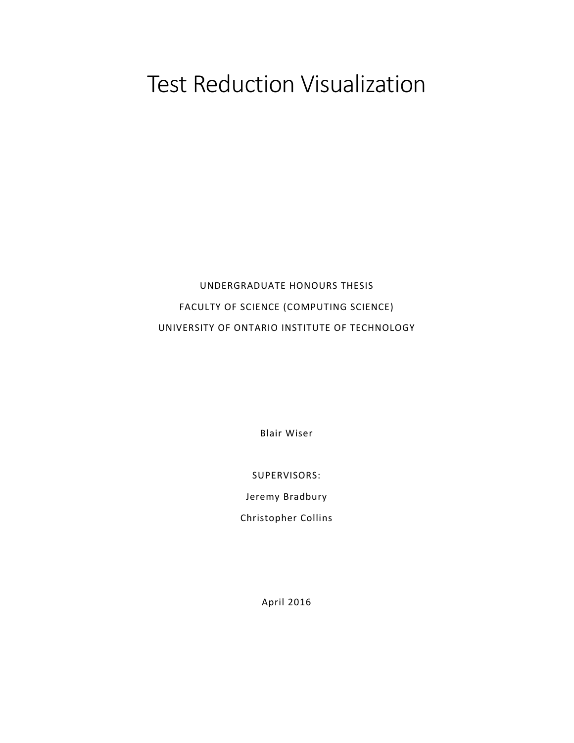# Test Reduction Visualization

# UNDERGRADUATE HONOURS THESIS FACULTY OF SCIENCE (COMPUTING SCIENCE) UNIVERSITY OF ONTARIO INSTITUTE OF TECHNOLOGY

Blair Wiser

SUPERVISORS:

Jeremy Bradbury

Christopher Collins

April 2016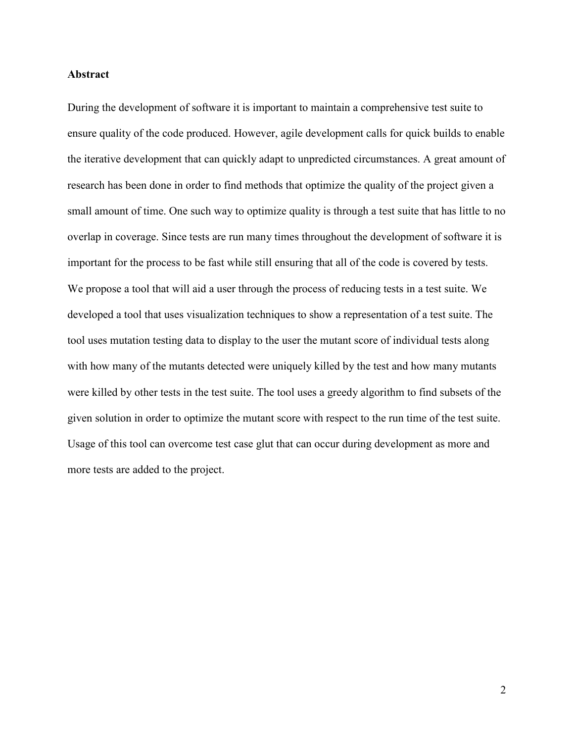# **Abstract**

During the development of software it is important to maintain a comprehensive test suite to ensure quality of the code produced. However, agile development calls for quick builds to enable the iterative development that can quickly adapt to unpredicted circumstances. A great amount of research has been done in order to find methods that optimize the quality of the project given a small amount of time. One such way to optimize quality is through a test suite that has little to no overlap in coverage. Since tests are run many times throughout the development of software it is important for the process to be fast while still ensuring that all of the code is covered by tests. We propose a tool that will aid a user through the process of reducing tests in a test suite. We developed a tool that uses visualization techniques to show a representation of a test suite. The tool uses mutation testing data to display to the user the mutant score of individual tests along with how many of the mutants detected were uniquely killed by the test and how many mutants were killed by other tests in the test suite. The tool uses a greedy algorithm to find subsets of the given solution in order to optimize the mutant score with respect to the run time of the test suite. Usage of this tool can overcome test case glut that can occur during development as more and more tests are added to the project.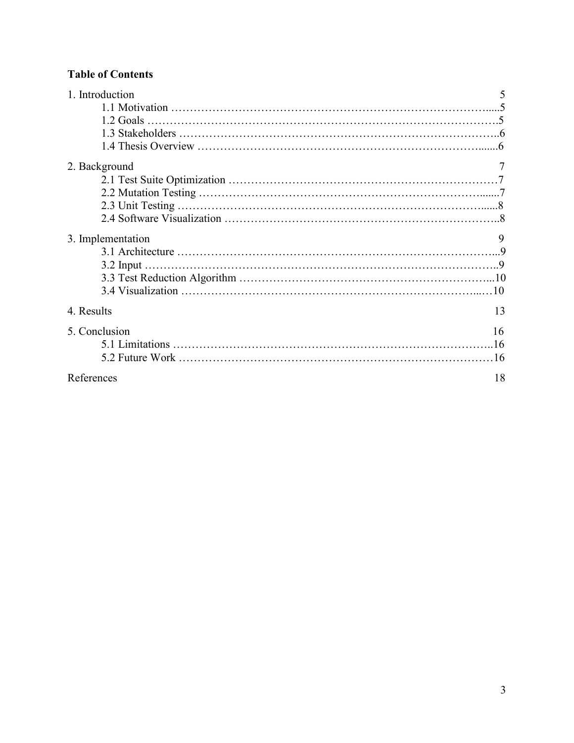# **Table of Contents**

| 1. Introduction   |    |
|-------------------|----|
|                   |    |
|                   |    |
|                   |    |
|                   |    |
| 2. Background     |    |
|                   |    |
|                   |    |
|                   |    |
|                   |    |
| 3. Implementation | 9  |
|                   |    |
|                   |    |
|                   |    |
|                   |    |
| 4. Results        | 13 |
| 5. Conclusion     | 16 |
|                   |    |
|                   |    |
| References        | 18 |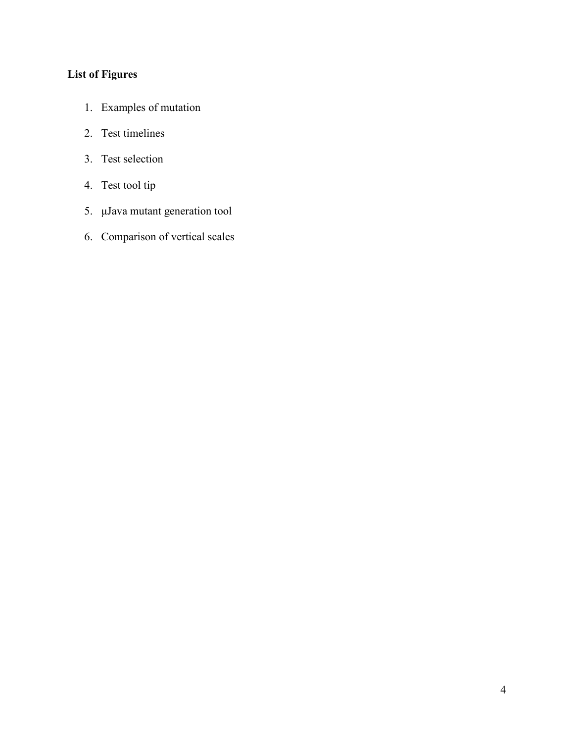# **List of Figures**

- 1. Examples of mutation
- 2. Test timelines
- 3. Test selection
- 4. Test tool tip
- 5. μJava mutant generation tool
- 6. Comparison of vertical scales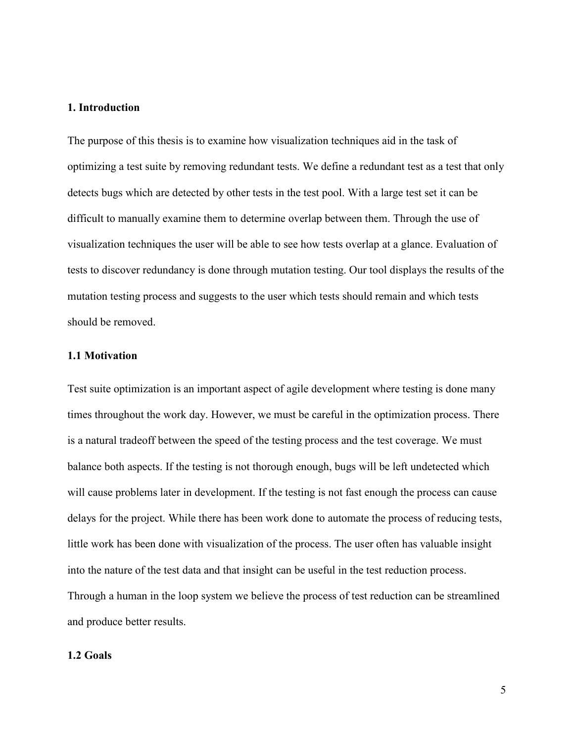# **1. Introduction**

The purpose of this thesis is to examine how visualization techniques aid in the task of optimizing a test suite by removing redundant tests. We define a redundant test as a test that only detects bugs which are detected by other tests in the test pool. With a large test set it can be difficult to manually examine them to determine overlap between them. Through the use of visualization techniques the user will be able to see how tests overlap at a glance. Evaluation of tests to discover redundancy is done through mutation testing. Our tool displays the results of the mutation testing process and suggests to the user which tests should remain and which tests should be removed.

# **1.1 Motivation**

Test suite optimization is an important aspect of agile development where testing is done many times throughout the work day. However, we must be careful in the optimization process. There is a natural tradeoff between the speed of the testing process and the test coverage. We must balance both aspects. If the testing is not thorough enough, bugs will be left undetected which will cause problems later in development. If the testing is not fast enough the process can cause delays for the project. While there has been work done to automate the process of reducing tests, little work has been done with visualization of the process. The user often has valuable insight into the nature of the test data and that insight can be useful in the test reduction process. Through a human in the loop system we believe the process of test reduction can be streamlined and produce better results.

# **1.2 Goals**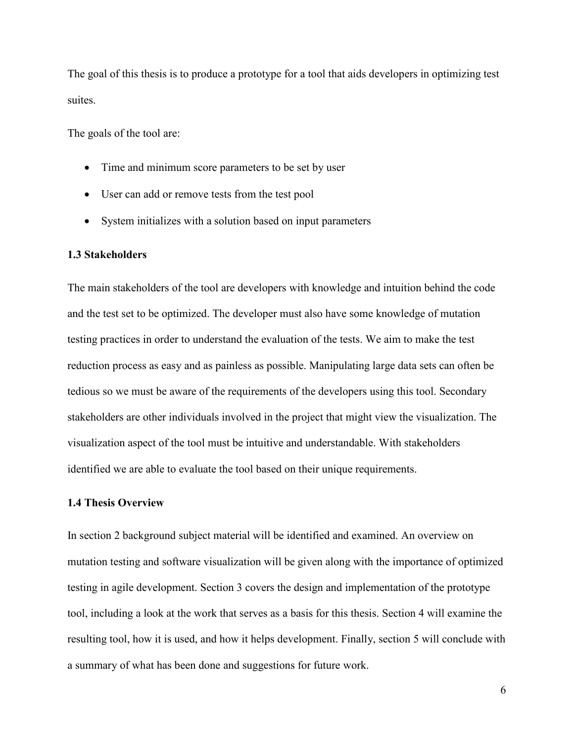The goal of this thesis is to produce a prototype for a tool that aids developers in optimizing test suites.

The goals of the tool are:

- Time and minimum score parameters to be set by user
- User can add or remove tests from the test pool
- System initializes with a solution based on input parameters

#### **1.3 Stakeholders**

The main stakeholders of the tool are developers with knowledge and intuition behind the code and the test set to be optimized. The developer must also have some knowledge of mutation testing practices in order to understand the evaluation of the tests. We aim to make the test reduction process as easy and as painless as possible. Manipulating large data sets can often be tedious so we must be aware of the requirements of the developers using this tool. Secondary stakeholders are other individuals involved in the project that might view the visualization. The visualization aspect of the tool must be intuitive and understandable. With stakeholders identified we are able to evaluate the tool based on their unique requirements.

# **1.4 Thesis Overview**

In section 2 background subject material will be identified and examined. An overview on mutation testing and software visualization will be given along with the importance of optimized testing in agile development. Section 3 covers the design and implementation of the prototype tool, including a look at the work that serves as a basis for this thesis. Section 4 will examine the resulting tool, how it is used, and how it helps development. Finally, section 5 will conclude with a summary of what has been done and suggestions for future work.

6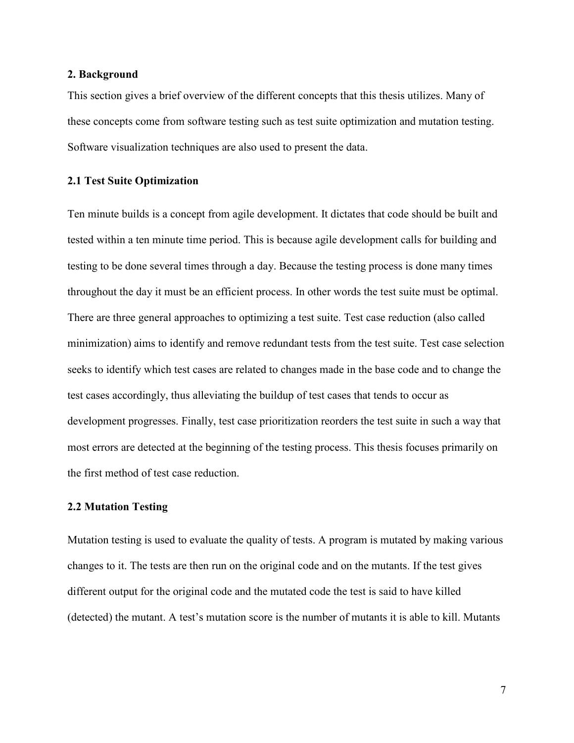## **2. Background**

This section gives a brief overview of the different concepts that this thesis utilizes. Many of these concepts come from software testing such as test suite optimization and mutation testing. Software visualization techniques are also used to present the data.

# **2.1 Test Suite Optimization**

Ten minute builds is a concept from agile development. It dictates that code should be built and tested within a ten minute time period. This is because agile development calls for building and testing to be done several times through a day. Because the testing process is done many times throughout the day it must be an efficient process. In other words the test suite must be optimal. There are three general approaches to optimizing a test suite. Test case reduction (also called minimization) aims to identify and remove redundant tests from the test suite. Test case selection seeks to identify which test cases are related to changes made in the base code and to change the test cases accordingly, thus alleviating the buildup of test cases that tends to occur as development progresses. Finally, test case prioritization reorders the test suite in such a way that most errors are detected at the beginning of the testing process. This thesis focuses primarily on the first method of test case reduction.

#### **2.2 Mutation Testing**

Mutation testing is used to evaluate the quality of tests. A program is mutated by making various changes to it. The tests are then run on the original code and on the mutants. If the test gives different output for the original code and the mutated code the test is said to have killed (detected) the mutant. A test's mutation score is the number of mutants it is able to kill. Mutants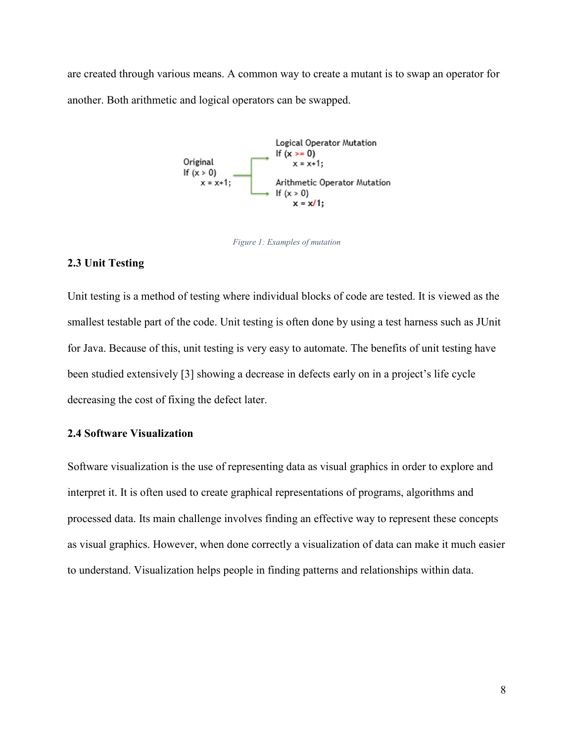are created through various means. A common way to create a mutant is to swap an operator for another. Both arithmetic and logical operators can be swapped.



*Figure 1: Examples of mutation* 

# **2.3 Unit Testing**

Unit testing is a method of testing where individual blocks of code are tested. It is viewed as the smallest testable part of the code. Unit testing is often done by using a test harness such as JUnit for Java. Because of this, unit testing is very easy to automate. The benefits of unit testing have been studied extensively [3] showing a decrease in defects early on in a project's life cycle decreasing the cost of fixing the defect later.

# **2.4 Software Visualization**

Software visualization is the use of representing data as visual graphics in order to explore and interpret it. It is often used to create graphical representations of programs, algorithms and processed data. Its main challenge involves finding an effective way to represent these concepts as visual graphics. However, when done correctly a visualization of data can make it much easier to understand. Visualization helps people in finding patterns and relationships within data.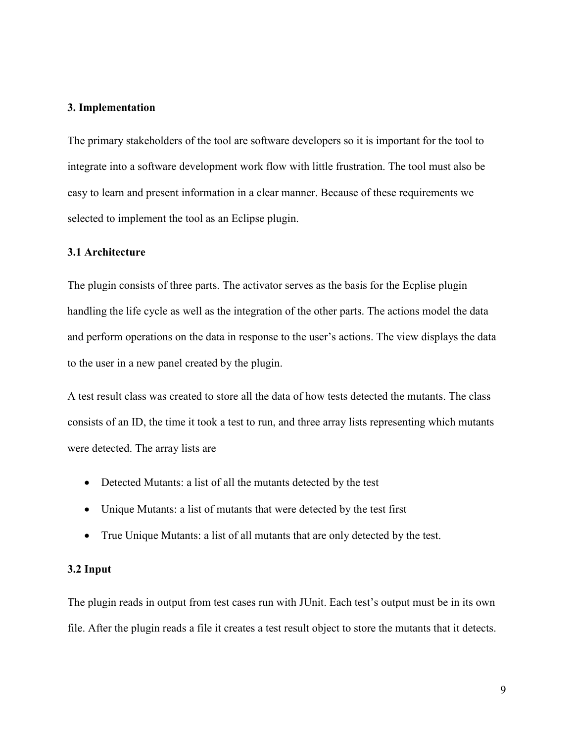# **3. Implementation**

The primary stakeholders of the tool are software developers so it is important for the tool to integrate into a software development work flow with little frustration. The tool must also be easy to learn and present information in a clear manner. Because of these requirements we selected to implement the tool as an Eclipse plugin.

# **3.1 Architecture**

The plugin consists of three parts. The activator serves as the basis for the Ecplise plugin handling the life cycle as well as the integration of the other parts. The actions model the data and perform operations on the data in response to the user's actions. The view displays the data to the user in a new panel created by the plugin.

A test result class was created to store all the data of how tests detected the mutants. The class consists of an ID, the time it took a test to run, and three array lists representing which mutants were detected. The array lists are

- Detected Mutants: a list of all the mutants detected by the test
- Unique Mutants: a list of mutants that were detected by the test first
- True Unique Mutants: a list of all mutants that are only detected by the test.

# **3.2 Input**

The plugin reads in output from test cases run with JUnit. Each test's output must be in its own file. After the plugin reads a file it creates a test result object to store the mutants that it detects.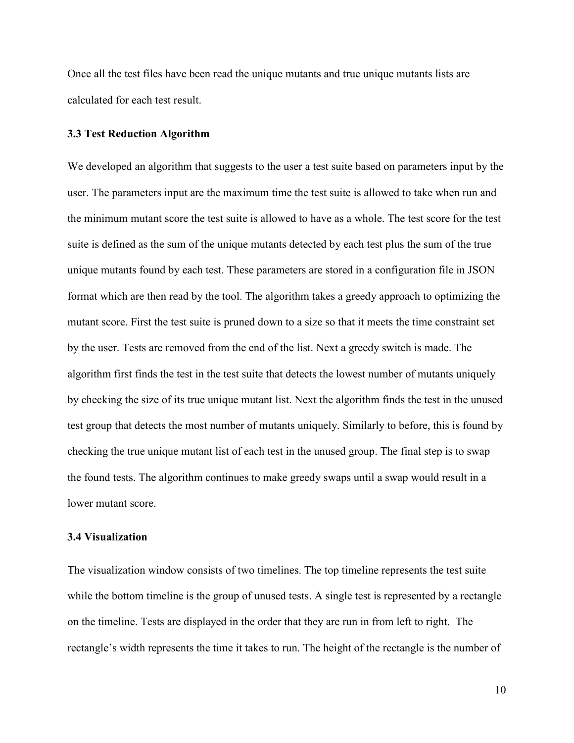Once all the test files have been read the unique mutants and true unique mutants lists are calculated for each test result.

# **3.3 Test Reduction Algorithm**

We developed an algorithm that suggests to the user a test suite based on parameters input by the user. The parameters input are the maximum time the test suite is allowed to take when run and the minimum mutant score the test suite is allowed to have as a whole. The test score for the test suite is defined as the sum of the unique mutants detected by each test plus the sum of the true unique mutants found by each test. These parameters are stored in a configuration file in JSON format which are then read by the tool. The algorithm takes a greedy approach to optimizing the mutant score. First the test suite is pruned down to a size so that it meets the time constraint set by the user. Tests are removed from the end of the list. Next a greedy switch is made. The algorithm first finds the test in the test suite that detects the lowest number of mutants uniquely by checking the size of its true unique mutant list. Next the algorithm finds the test in the unused test group that detects the most number of mutants uniquely. Similarly to before, this is found by checking the true unique mutant list of each test in the unused group. The final step is to swap the found tests. The algorithm continues to make greedy swaps until a swap would result in a lower mutant score.

# **3.4 Visualization**

The visualization window consists of two timelines. The top timeline represents the test suite while the bottom timeline is the group of unused tests. A single test is represented by a rectangle on the timeline. Tests are displayed in the order that they are run in from left to right. The rectangle's width represents the time it takes to run. The height of the rectangle is the number of

10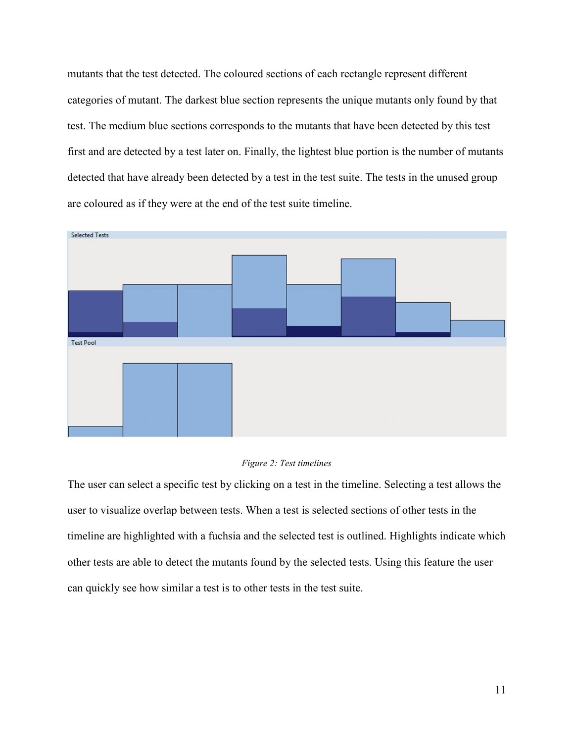mutants that the test detected. The coloured sections of each rectangle represent different categories of mutant. The darkest blue section represents the unique mutants only found by that test. The medium blue sections corresponds to the mutants that have been detected by this test first and are detected by a test later on. Finally, the lightest blue portion is the number of mutants detected that have already been detected by a test in the test suite. The tests in the unused group are coloured as if they were at the end of the test suite timeline.





The user can select a specific test by clicking on a test in the timeline. Selecting a test allows the user to visualize overlap between tests. When a test is selected sections of other tests in the timeline are highlighted with a fuchsia and the selected test is outlined. Highlights indicate which other tests are able to detect the mutants found by the selected tests. Using this feature the user can quickly see how similar a test is to other tests in the test suite.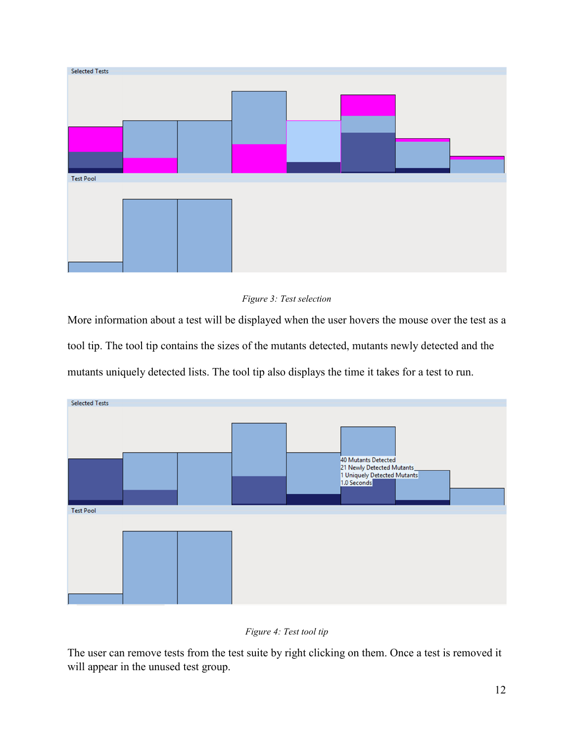

# *Figure 3: Test selection*

More information about a test will be displayed when the user hovers the mouse over the test as a tool tip. The tool tip contains the sizes of the mutants detected, mutants newly detected and the mutants uniquely detected lists. The tool tip also displays the time it takes for a test to run.



# *Figure 4: Test tool tip*

The user can remove tests from the test suite by right clicking on them. Once a test is removed it will appear in the unused test group.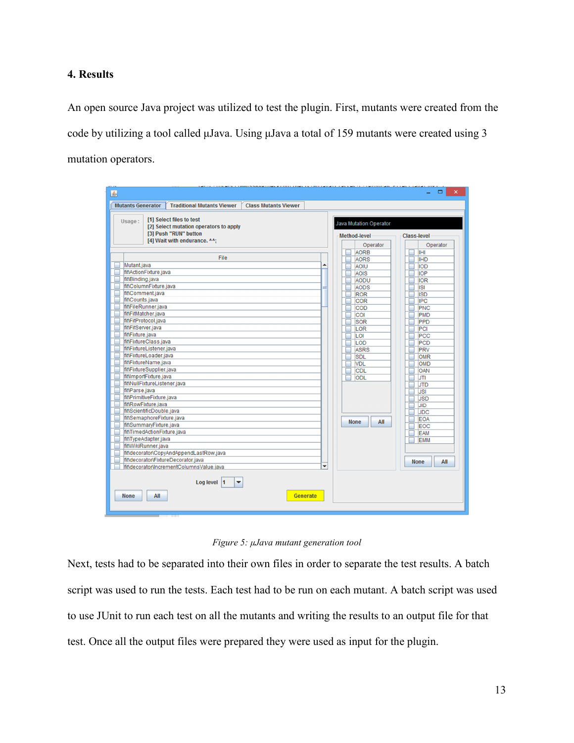# **4. Results**

An open source Java project was utilized to test the plugin. First, mutants were created from the code by utilizing a tool called μJava. Using μJava a total of 159 mutants were created using 3 mutation operators.

| [1] Select files to test<br>Usage:<br>[2] Select mutation operators to apply |                 | <b>Java Mutation Operator</b> |                            |  |                          |
|------------------------------------------------------------------------------|-----------------|-------------------------------|----------------------------|--|--------------------------|
| [3] Push "RUN" button<br>[4] Wait with endurance. ^^:                        |                 | <b>Method-level</b>           |                            |  | <b>Class-level</b>       |
|                                                                              |                 |                               | Operator                   |  | Operator                 |
| File                                                                         |                 |                               | <b>AORB</b><br><b>AORS</b> |  | IHI                      |
| Mutant.java                                                                  | ▲               |                               | AOIU                       |  | <b>IHD</b><br><b>IOD</b> |
| fit\ActionFixture.java                                                       |                 |                               | <b>AOIS</b>                |  | <b>IOP</b>               |
| fit\Binding.java                                                             |                 |                               | AODU                       |  | <b>IOR</b>               |
| fit\ColumnFixture.java                                                       |                 |                               | AODS                       |  | <b>ISI</b>               |
| fit\Comment.java                                                             |                 |                               | <b>ROR</b>                 |  | <b>ISD</b>               |
| fit\Counts.java                                                              |                 |                               | <b>COR</b>                 |  | <b>IPC</b>               |
| fit\FileRunner.java                                                          |                 |                               | <b>COD</b>                 |  | PNC                      |
| fit\FitMatcher.java                                                          |                 |                               | COI                        |  | PMD                      |
| fit\FitProtocol.java<br>fit\FitServer.java                                   |                 |                               | <b>SOR</b>                 |  | PPD                      |
| fit\Fixture.java                                                             |                 |                               | LOR                        |  | PCI                      |
| fit\FixtureClass.java                                                        |                 |                               | LOI                        |  | <b>PCC</b>               |
| fit\FixtureListener.java                                                     |                 |                               | LOD<br><b>ASRS</b>         |  | PCD<br>PRV               |
| fit\FixtureLoader.java                                                       |                 |                               | <b>SDL</b>                 |  | <b>OMR</b>               |
| fit\FixtureName.java                                                         |                 |                               | <b>VDL</b>                 |  | <b>OMD</b>               |
| fit\FixtureSupplier.java                                                     |                 |                               | <b>CDL</b>                 |  | OAN                      |
| fit\ImportFixture.java                                                       |                 |                               | ODL                        |  | <b>JTI</b>               |
| fit\NullFixtureListener.java                                                 |                 |                               |                            |  | <b>JTD</b>               |
| fit\Parse.java                                                               |                 |                               |                            |  | <b>JSI</b>               |
| fit\PrimitiveFixture.java                                                    |                 |                               |                            |  | <b>JSD</b>               |
| fit\RowFixture.java                                                          |                 |                               |                            |  | <b>JID</b>               |
| fit\ScientificDouble.java                                                    |                 |                               |                            |  | <b>JDC</b>               |
| fit\SemaphoreFixture.java<br>fit\SummaryFixture.java                         |                 | <b>None</b>                   | All                        |  | <b>EOA</b>               |
| fit\TimedActionFixture.java                                                  |                 |                               |                            |  | EOC                      |
| fit\TypeAdapter.java                                                         |                 |                               |                            |  | <b>EAM</b><br><b>EMM</b> |
| fit\WikiRunner.java                                                          |                 |                               |                            |  |                          |
| fit\decorator\CopyAndAppendLastRow.java                                      |                 |                               |                            |  |                          |
| fit\decorator\FixtureDecorator.java                                          |                 |                               |                            |  | All<br><b>None</b>       |
| fit\decorator\IncrementColumnsValue.java                                     | $\checkmark$    |                               |                            |  |                          |
| Log level 1<br>▼                                                             |                 |                               |                            |  |                          |
| All<br><b>None</b>                                                           | <b>Generate</b> |                               |                            |  |                          |

*Figure 5: μJava mutant generation tool* 

Next, tests had to be separated into their own files in order to separate the test results. A batch script was used to run the tests. Each test had to be run on each mutant. A batch script was used to use JUnit to run each test on all the mutants and writing the results to an output file for that test. Once all the output files were prepared they were used as input for the plugin.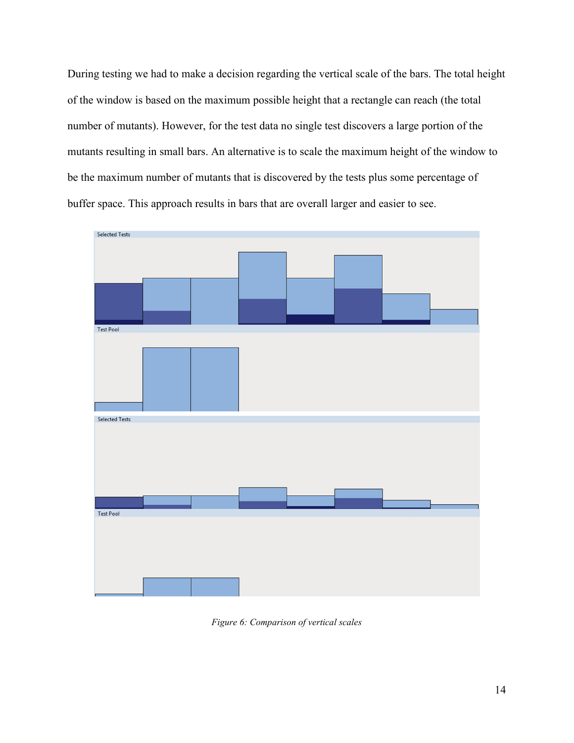During testing we had to make a decision regarding the vertical scale of the bars. The total height of the window is based on the maximum possible height that a rectangle can reach (the total number of mutants). However, for the test data no single test discovers a large portion of the mutants resulting in small bars. An alternative is to scale the maximum height of the window to be the maximum number of mutants that is discovered by the tests plus some percentage of buffer space. This approach results in bars that are overall larger and easier to see.



*Figure 6: Comparison of vertical scales*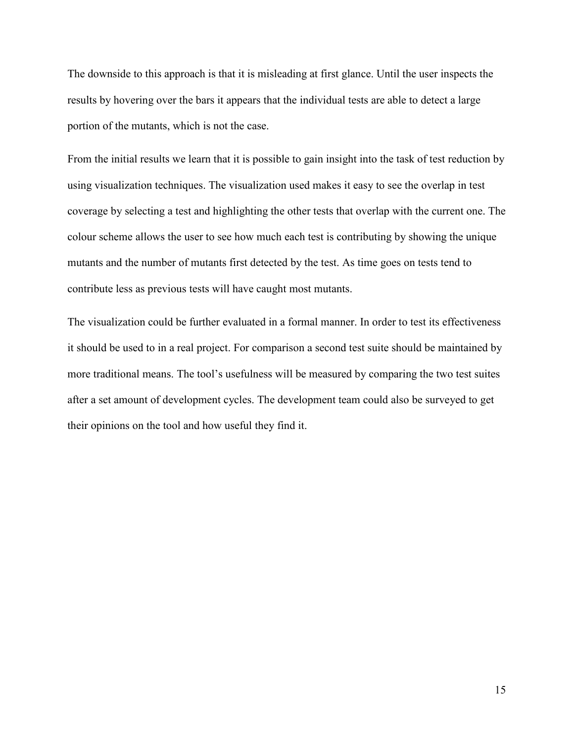The downside to this approach is that it is misleading at first glance. Until the user inspects the results by hovering over the bars it appears that the individual tests are able to detect a large portion of the mutants, which is not the case.

From the initial results we learn that it is possible to gain insight into the task of test reduction by using visualization techniques. The visualization used makes it easy to see the overlap in test coverage by selecting a test and highlighting the other tests that overlap with the current one. The colour scheme allows the user to see how much each test is contributing by showing the unique mutants and the number of mutants first detected by the test. As time goes on tests tend to contribute less as previous tests will have caught most mutants.

The visualization could be further evaluated in a formal manner. In order to test its effectiveness it should be used to in a real project. For comparison a second test suite should be maintained by more traditional means. The tool's usefulness will be measured by comparing the two test suites after a set amount of development cycles. The development team could also be surveyed to get their opinions on the tool and how useful they find it.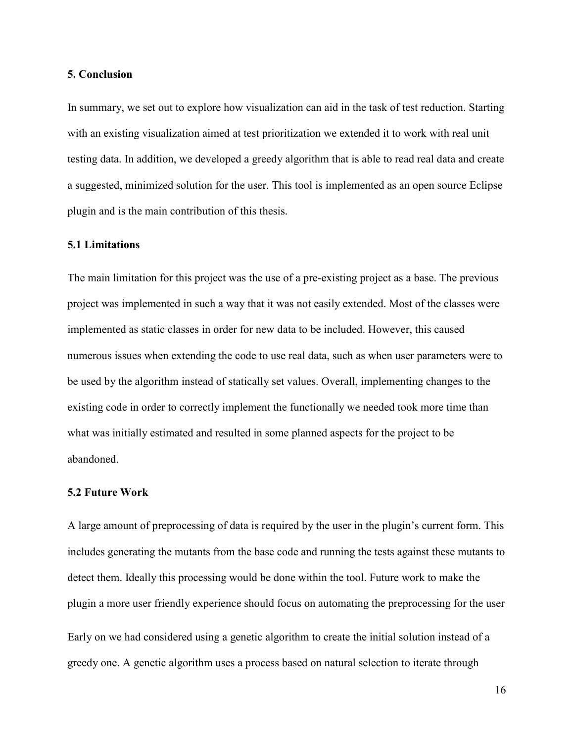## **5. Conclusion**

In summary, we set out to explore how visualization can aid in the task of test reduction. Starting with an existing visualization aimed at test prioritization we extended it to work with real unit testing data. In addition, we developed a greedy algorithm that is able to read real data and create a suggested, minimized solution for the user. This tool is implemented as an open source Eclipse plugin and is the main contribution of this thesis.

# **5.1 Limitations**

The main limitation for this project was the use of a pre-existing project as a base. The previous project was implemented in such a way that it was not easily extended. Most of the classes were implemented as static classes in order for new data to be included. However, this caused numerous issues when extending the code to use real data, such as when user parameters were to be used by the algorithm instead of statically set values. Overall, implementing changes to the existing code in order to correctly implement the functionally we needed took more time than what was initially estimated and resulted in some planned aspects for the project to be abandoned.

#### **5.2 Future Work**

A large amount of preprocessing of data is required by the user in the plugin's current form. This includes generating the mutants from the base code and running the tests against these mutants to detect them. Ideally this processing would be done within the tool. Future work to make the plugin a more user friendly experience should focus on automating the preprocessing for the user Early on we had considered using a genetic algorithm to create the initial solution instead of a greedy one. A genetic algorithm uses a process based on natural selection to iterate through

16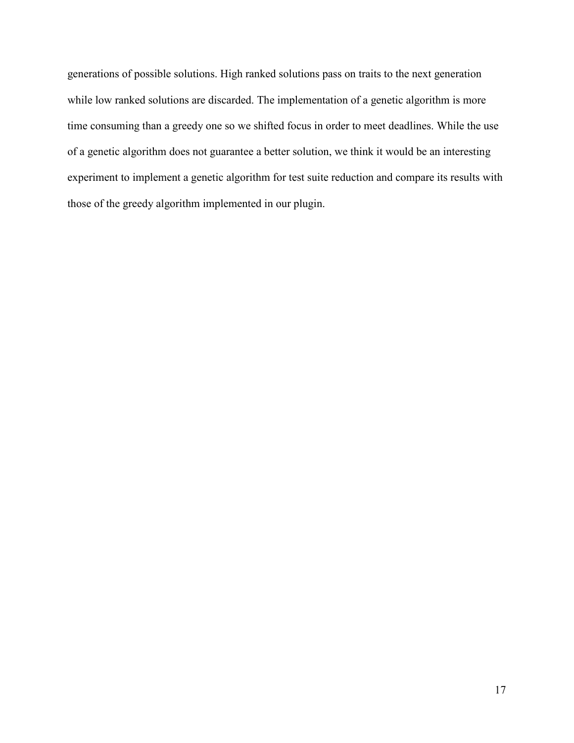generations of possible solutions. High ranked solutions pass on traits to the next generation while low ranked solutions are discarded. The implementation of a genetic algorithm is more time consuming than a greedy one so we shifted focus in order to meet deadlines. While the use of a genetic algorithm does not guarantee a better solution, we think it would be an interesting experiment to implement a genetic algorithm for test suite reduction and compare its results with those of the greedy algorithm implemented in our plugin.